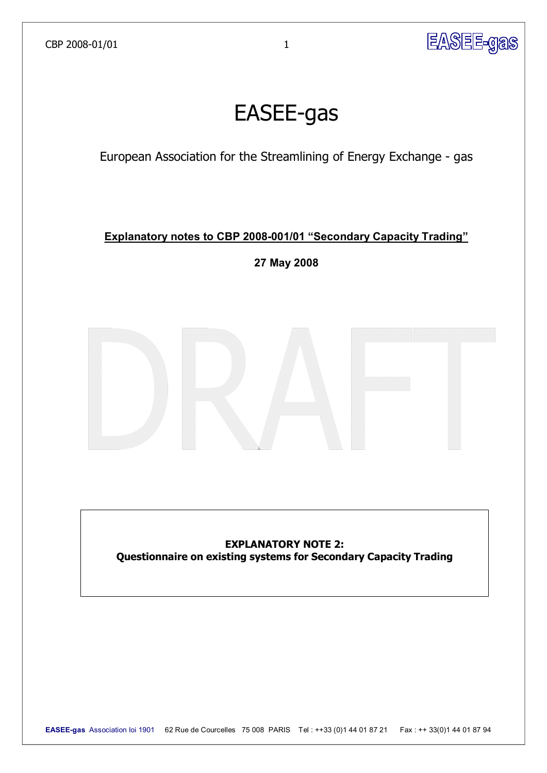

# **EASEE-gas**

European Association for the Streamlining of Energy Exchange - gas

# **Explanatory notes to CBP 2008-001/01 "Secondary Capacity Trading"**

**27 May 2008** 



# **EXPLANATORY NOTE 2: Questionnaire on existing systems for Secondary Capacity Trading**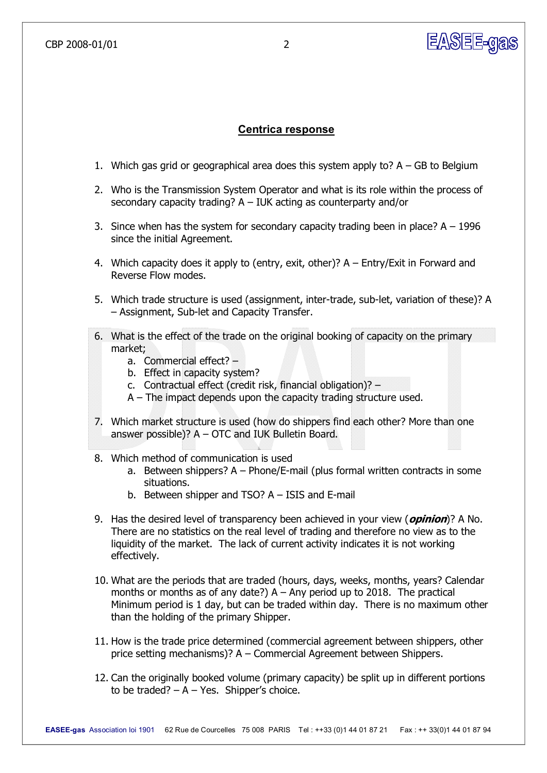### **Centrica response**

- 1. Which gas grid or geographical area does this system apply to?  $A GB$  to Belgium
- 2. Who is the Transmission System Operator and what is its role within the process of secondary capacity trading? A – IUK acting as counterparty and/or
- 3. Since when has the system for secondary capacity trading been in place?  $A 1996$ since the initial Agreement.
- 4. Which capacity does it apply to (entry, exit, other)? A Entry/Exit in Forward and Reverse Flow modes.
- 5. Which trade structure is used (assignment, inter-trade, sub-let, variation of these)? A – Assignment, Sub-let and Capacity Transfer.
- 6. What is the effect of the trade on the original booking of capacity on the primary market;
	- a. Commercial effect? –
	- b. Effect in capacity system?
	- c. Contractual effect (credit risk, financial obligation)? –
	- A The impact depends upon the capacity trading structure used.
- 7. Which market structure is used (how do shippers find each other? More than one answer possible)? A – OTC and IUK Bulletin Board.
- 8. Which method of communication is used
	- a. Between shippers?  $A Phone/E-mail$  (plus formal written contracts in some situations.
	- b. Between shipper and TSO?  $A I SIS$  and E-mail
- 9. Has the desired level of transparency been achieved in your view (**opinion**)? A No. There are no statistics on the real level of trading and therefore no view as to the liquidity of the market. The lack of current activity indicates it is not working effectively.
- 10. What are the periods that are traded (hours, days, weeks, months, years? Calendar months or months as of any date?)  $A - Any$  period up to 2018. The practical Minimum period is 1 day, but can be traded within day. There is no maximum other than the holding of the primary Shipper.
- 11. How is the trade price determined (commercial agreement between shippers, other price setting mechanisms)? A – Commercial Agreement between Shippers.
- 12. Can the originally booked volume (primary capacity) be split up in different portions to be traded?  $- A - Yes$ . Shipper's choice.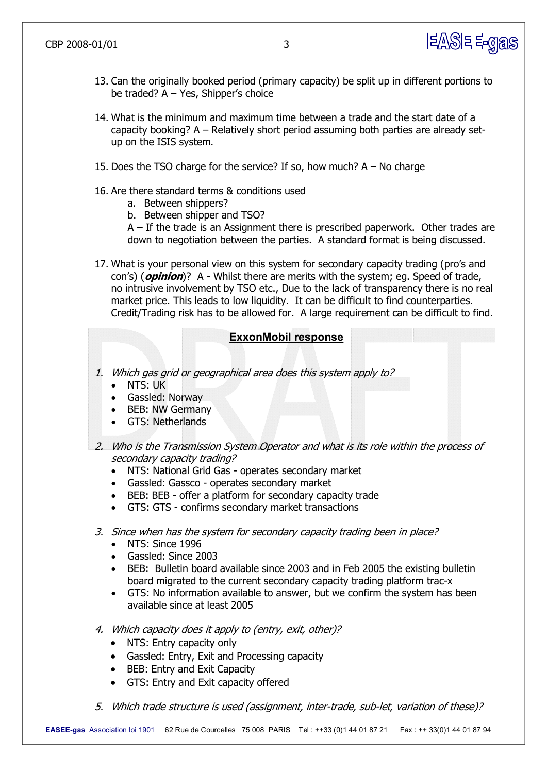

- 13. Can the originally booked period (primary capacity) be split up in different portions to be traded? A – Yes, Shipper's choice
- 14. What is the minimum and maximum time between a trade and the start date of a capacity booking? A – Relatively short period assuming both parties are already set up on the ISIS system.
- 15. Does the TSO charge for the service? If so, how much? A No charge
- 16. Are there standard terms & conditions used
	- a. Between shippers?
	- b. Between shipper and TSO?

A – If the trade is an Assignment there is prescribed paperwork. Other trades are down to negotiation between the parties. A standard format is being discussed.

17. What is your personal view on this system for secondary capacity trading (pro's and con's) (*opinion*)? A - Whilst there are merits with the system; eq. Speed of trade, no intrusive involvement by TSO etc., Due to the lack of transparency there is no real market price. This leads to low liquidity. It can be difficult to find counterparties. Credit/Trading risk has to be allowed for. A large requirement can be difficult to find.

### **ExxonMobil response**

- 1. Which gas grid or geographical area does this system apply to?
	- · NTS: UK
	- · Gassled: Norway
	- BEB: NW Germany
	- GTS: Netherlands
- 2. Who is the Transmission System Operator and what is its role within the process of secondary capacity trading?
	- NTS: National Grid Gas operates secondary market
	- Gassled: Gassco operates secondary market
	- BEB: BEB offer a platform for secondary capacity trade
	- GTS: GTS confirms secondary market transactions
- 3. Since when has the system for secondary capacity trading been in place?
	- · NTS: Since 1996
	- · Gassled: Since 2003
	- · BEB: Bulletin board available since 2003 and in Feb 2005 the existing bulletin board migrated to the current secondary capacity trading platform trac-x
	- · GTS: No information available to answer, but we confirm the system has been available since at least 2005
- 4. Which capacity does it apply to (entry, exit, other)?
	- NTS: Entry capacity only
	- · Gassled: Entry, Exit and Processing capacity
	- BEB: Entry and Exit Capacity
	- · GTS: Entry and Exit capacity offered
- 5. Which trade structure is used (assignment, inter-trade, sub-let, variation of these)?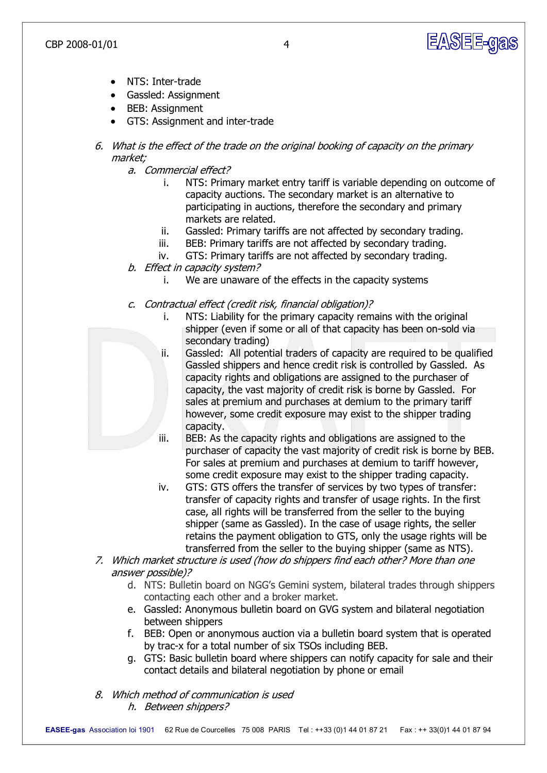

- NTS: Inter-trade
- · Gassled: Assignment
- · BEB: Assignment
- GTS: Assignment and inter-trade
- 6. What is the effect of the trade on the original booking of capacity on the primary market;
	- a. Commercial effect?
		- i. NTS: Primary market entry tariff is variable depending on outcome of capacity auctions. The secondary market is an alternative to participating in auctions, therefore the secondary and primary markets are related.
		- ii. Gassled: Primary tariffs are not affected by secondary trading.
		- iii. BEB: Primary tariffs are not affected by secondary trading.
		- iv. GTS: Primary tariffs are not affected by secondary trading.
	- b. Effect in capacity system?
		- i. We are unaware of the effects in the capacity systems
	- c. Contractual effect (credit risk, financial obligation)?
		- i. NTS: Liability for the primary capacity remains with the original shipper (even if some or all of that capacity has been on-sold via secondary trading)
		- ii. Gassled: All potential traders of capacity are required to be qualified Gassled shippers and hence credit risk is controlled by Gassled. As capacity rights and obligations are assigned to the purchaser of capacity, the vast majority of credit risk is borne by Gassled. For sales at premium and purchases at demium to the primary tariff however, some credit exposure may exist to the shipper trading capacity.
		- iii. BEB: As the capacity rights and obligations are assigned to the purchaser of capacity the vast majority of credit risk is borne by BEB. For sales at premium and purchases at demium to tariff however, some credit exposure may exist to the shipper trading capacity.
		- iv. GTS: GTS offers the transfer of services by two types of transfer: transfer of capacity rights and transfer of usage rights. In the first case, all rights will be transferred from the seller to the buying shipper (same as Gassled). In the case of usage rights, the seller retains the payment obligation to GTS, only the usage rights will be transferred from the seller to the buying shipper (same as NTS).
- 7. Which market structure is used (how do shippers find each other? More than one answer possible)?
	- d. NTS: Bulletin board on NGG's Gemini system, bilateral trades through shippers contacting each other and a broker market.
	- e. Gassled: Anonymous bulletin board on GVG system and bilateral negotiation between shippers
	- f. BEB: Open or anonymous auction via a bulletin board system that is operated by trac-x for a total number of six TSOs including BEB.
	- g. GTS: Basic bulletin board where shippers can notify capacity for sale and their contact details and bilateral negotiation by phone or email
- 8. Which method of communication is used h. Between shippers?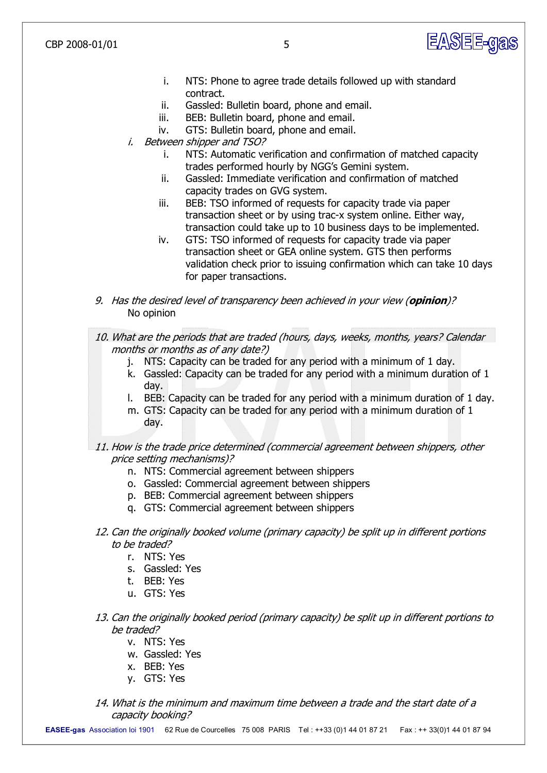CBP 2008-01/01 5

- i. NTS: Phone to agree trade details followed up with standard contract.
- ii. Gassled: Bulletin board, phone and email.
- iii. BEB: Bulletin board, phone and email.
- iv. GTS: Bulletin board, phone and email.
- i. Between shipper and TSO?
	- i. NTS: Automatic verification and confirmation of matched capacity trades performed hourly by NGG's Gemini system.
	- ii. Gassled: Immediate verification and confirmation of matched capacity trades on GVG system.
	- iii. BEB: TSO informed of requests for capacity trade via paper transaction sheet or by using trac-x system online. Either way, transaction could take up to 10 business days to be implemented.
	- iv. GTS: TSO informed of requests for capacity trade via paper transaction sheet or GEA online system. GTS then performs validation check prior to issuing confirmation which can take 10 days for paper transactions.
- 9. Has the desired level of transparency been achieved in your view (**opinion**)? No opinion

10. What are the periods that are traded (hours, days, weeks, months, years? Calendar months or months as of any date?)

- j. NTS: Capacity can be traded for any period with a minimum of 1 day.
- k. Gassled: Capacity can be traded for any period with a minimum duration of 1 day.
- l. BEB: Capacity can be traded for any period with a minimum duration of 1 day.
- m. GTS: Capacity can be traded for any period with a minimum duration of 1 day.
- 11. How is the trade price determined (commercial agreement between shippers, other price setting mechanisms)?
	- n. NTS: Commercial agreement between shippers
	- o. Gassled: Commercial agreement between shippers
	- p. BEB: Commercial agreement between shippers
	- q. GTS: Commercial agreement between shippers
- 12. Can the originally booked volume (primary capacity) be split up in different portions to be traded?
	- r. NTS: Yes
	- s. Gassled: Yes
	- t. BEB: Yes
	- u. GTS: Yes
- 13. Can the originally booked period (primary capacity) be split up in different portions to be traded?
	- v. NTS: Yes
	- w. Gassled: Yes
	- x. BEB: Yes
	- y. GTS: Yes
- 14. What is the minimum and maximum time between a trade and the start date of a capacity booking?

**EASEEgas** Association loi 1901 62 Rue de Courcelles 75 008 PARIS Tel : ++33 (0)1 44 01 87 21 Fax : ++ 33(0)1 44 01 87 94

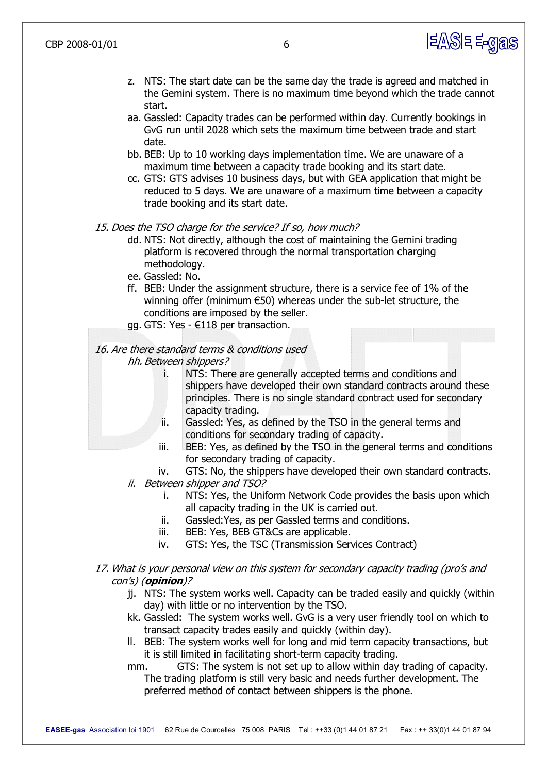

- z. NTS: The start date can be the same day the trade is agreed and matched in the Gemini system. There is no maximum time beyond which the trade cannot start.
- aa. Gassled: Capacity trades can be performed within day. Currently bookings in GvG run until 2028 which sets the maximum time between trade and start date.
- bb. BEB: Up to 10 working days implementation time. We are unaware of a maximum time between a capacity trade booking and its start date.
- cc. GTS: GTS advises 10 business days, but with GEA application that might be reduced to 5 days. We are unaware of a maximum time between a capacity trade booking and its start date.

#### 15. Does the TSO charge for the service? If so, how much?

- dd. NTS: Not directly, although the cost of maintaining the Gemini trading platform is recovered through the normal transportation charging methodology.
- ee. Gassled: No.
- ff. BEB: Under the assignment structure, there is a service fee of 1% of the winning offer (minimum  $\epsilon$ 50) whereas under the sub-let structure, the conditions are imposed by the seller.
- gg. GTS: Yes  $-€118$  per transaction.

# 16. Are there standard terms & conditions used

- hh. Between shippers?
	- i. NTS: There are generally accepted terms and conditions and shippers have developed their own standard contracts around these principles. There is no single standard contract used for secondary capacity trading.
	- ii. Gassled: Yes, as defined by the TSO in the general terms and conditions for secondary trading of capacity.
	- iii. BEB: Yes, as defined by the TSO in the general terms and conditions for secondary trading of capacity.
	- iv. GTS: No, the shippers have developed their own standard contracts.
- ii. Between shipper and TSO?
	- i. NTS: Yes, the Uniform Network Code provides the basis upon which all capacity trading in the UK is carried out.
	- ii. Gassled:Yes, as per Gassled terms and conditions.
	- iii. BEB: Yes, BEB GT&Cs are applicable.
	- iv. GTS: Yes, the TSC (Transmission Services Contract)
- 17. What is your personal view on this system for secondary capacity trading (pro's and con's) (**opinion**)?
	- jj. NTS: The system works well. Capacity can be traded easily and quickly (within day) with little or no intervention by the TSO.
	- kk. Gassled: The system works well. GvG is a very user friendly tool on which to transact capacity trades easily and quickly (within day).
	- ll. BEB: The system works well for long and mid term capacity transactions, but it is still limited in facilitating short-term capacity trading.
	- mm. GTS: The system is not set up to allow within day trading of capacity. The trading platform is still very basic and needs further development. The preferred method of contact between shippers is the phone.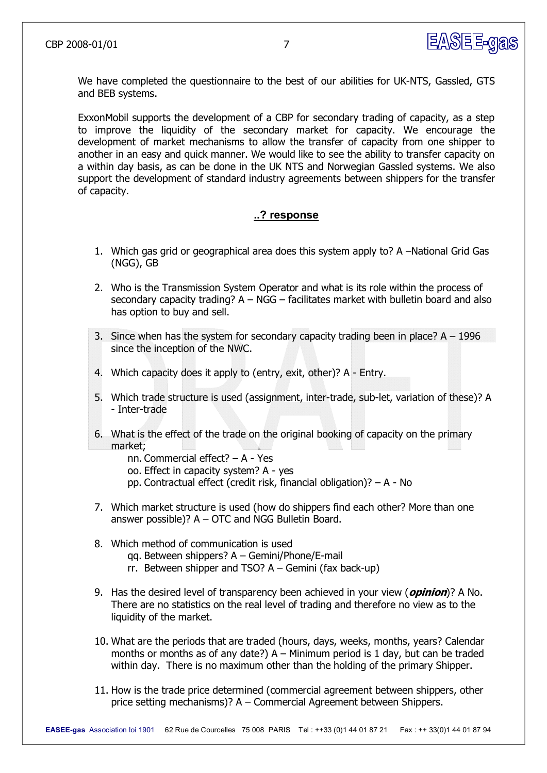

We have completed the questionnaire to the best of our abilities for UK-NTS, Gassled, GTS and BEB systems.

ExxonMobil supports the development of a CBP for secondary trading of capacity, as a step to improve the liquidity of the secondary market for capacity. We encourage the development of market mechanisms to allow the transfer of capacity from one shipper to another in an easy and quick manner. We would like to see the ability to transfer capacity on a within day basis, as can be done in the UK NTS and Norwegian Gassled systems. We also support the development of standard industry agreements between shippers for the transfer of capacity.

#### **..? response**

- 1. Which gas grid or geographical area does this system apply to? A –National Grid Gas (NGG), GB
- 2. Who is the Transmission System Operator and what is its role within the process of secondary capacity trading? A – NGG – facilitates market with bulletin board and also has option to buy and sell.
- 3. Since when has the system for secondary capacity trading been in place?  $A 1996$ since the inception of the NWC.
- 4. Which capacity does it apply to (entry, exit, other)? A Entry.
- 5. Which trade structure is used (assignment, inter-trade, sub-let, variation of these)? A - Inter-trade
- 6. What is the effect of the trade on the original booking of capacity on the primary market;
	- nn. Commercial effect? A Yes
	- oo. Effect in capacity system? A yes
	- pp. Contractual effect (credit risk, financial obligation)?  $A No$
- 7. Which market structure is used (how do shippers find each other? More than one answer possible)? A – OTC and NGG Bulletin Board.
- 8. Which method of communication is used qq. Between shippers? A – Gemini/Phone/E-mail rr. Between shipper and TSO?  $A -$  Gemini (fax back-up)
- 9. Has the desired level of transparency been achieved in your view (**opinion**)? A No. There are no statistics on the real level of trading and therefore no view as to the liquidity of the market.
- 10. What are the periods that are traded (hours, days, weeks, months, years? Calendar months or months as of any date?)  $A -$  Minimum period is 1 day, but can be traded within day. There is no maximum other than the holding of the primary Shipper.
- 11. How is the trade price determined (commercial agreement between shippers, other price setting mechanisms)? A – Commercial Agreement between Shippers.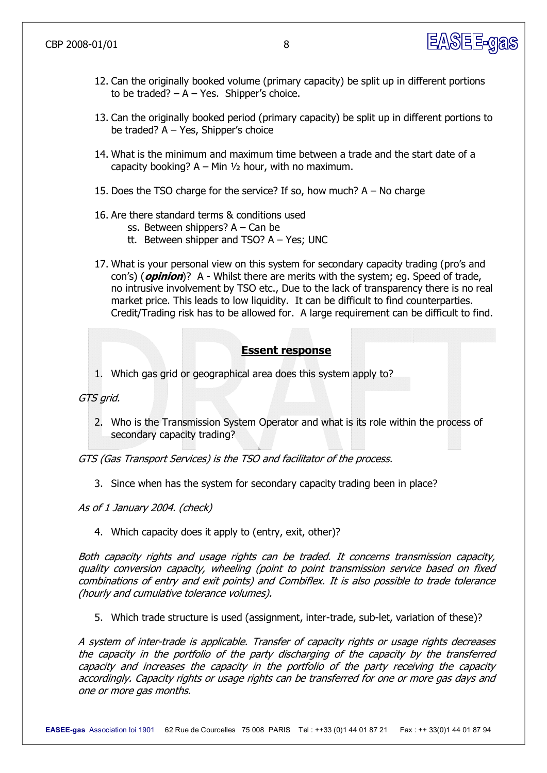

- 12. Can the originally booked volume (primary capacity) be split up in different portions to be traded?  $- A - Yes$ . Shipper's choice.
- 13. Can the originally booked period (primary capacity) be split up in different portions to be traded? A – Yes, Shipper's choice
- 14. What is the minimum and maximum time between a trade and the start date of a capacity booking?  $A - Min$   $1/2$  hour, with no maximum.
- 15. Does the TSO charge for the service? If so, how much?  $A No$  charge
- 16. Are there standard terms & conditions used
	- ss. Between shippers? A Can be
	- tt. Between shipper and TSO?  $A Yes$ ; UNC
- 17. What is your personal view on this system for secondary capacity trading (pro's and con's) (*opinion*)? A - Whilst there are merits with the system; eq. Speed of trade, no intrusive involvement by TSO etc., Due to the lack of transparency there is no real market price. This leads to low liquidity. It can be difficult to find counterparties. Credit/Trading risk has to be allowed for. A large requirement can be difficult to find.

## **Essent response**

1. Which gas grid or geographical area does this system apply to?

GTS grid.

2. Who is the Transmission System Operator and what is its role within the process of secondary capacity trading?

GTS (Gas Transport Services) is the TSO and facilitator of the process.

3. Since when has the system for secondary capacity trading been in place?

As of 1 January 2004. (check)

4. Which capacity does it apply to (entry, exit, other)?

Both capacity rights and usage rights can be traded. It concerns transmission capacity, quality conversion capacity, wheeling (point to point transmission service based on fixed combinations of entry and exit points) and Combiflex. It is also possible to trade tolerance (hourly and cumulative tolerance volumes).

5. Which trade structure is used (assignment, inter-trade, sub-let, variation of these)?

A system of inter-trade is applicable. Transfer of capacity rights or usage rights decreases the capacity in the portfolio of the party discharging of the capacity by the transferred capacity and increases the capacity in the portfolio of the party receiving the capacity accordingly. Capacity rights or usage rights can be transferred for one or more gas days and one or more gas months.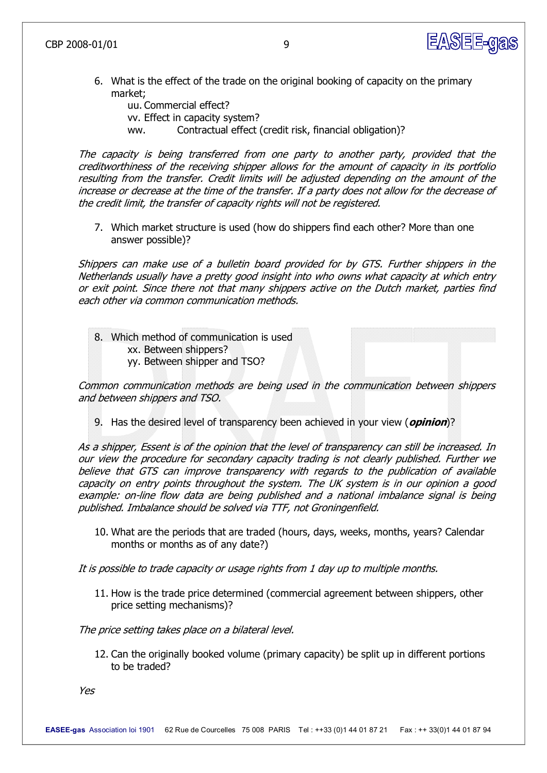

6. What is the effect of the trade on the original booking of capacity on the primary market;

uu. Commercial effect? vv. Effect in capacity system? ww. Contractual effect (credit risk, financial obligation)?

The capacity is being transferred from one party to another party, provided that the creditworthiness of the receiving shipper allows for the amount of capacity in its portfolio resulting from the transfer. Credit limits will be adjusted depending on the amount of the increase or decrease at the time of the transfer. If a party does not allow for the decrease of the credit limit, the transfer of capacity rights will not be registered.

7. Which market structure is used (how do shippers find each other? More than one answer possible)?

Shippers can make use of <sup>a</sup> bulletin board provided for by GTS. Further shippers in the Netherlands usually have a pretty good insight into who owns what capacity at which entry or exit point. Since there not that many shippers active on the Dutch market, parties find each other via common communication methods.

8. Which method of communication is used xx. Between shippers? yy. Between shipper and TSO?

Common communication methods are being used in the communication between shippers and between shippers and TSO.

9. Has the desired level of transparency been achieved in your view (**opinion**)?

As a shipper, Essent is of the opinion that the level of transparency can still be increased. In our view the procedure for secondary capacity trading is not clearly published. Further we believe that GTS can improve transparency with regards to the publication of available capacity on entry points throughout the system. The UK system is in our opinion a good example: on-line flow data are being published and a national imbalance signal is being published. Imbalance should be solved via TTF, not Groningenfield.

10. What are the periods that are traded (hours, days, weeks, months, years? Calendar months or months as of any date?)

It is possible to trade capacity or usage rights from 1 day up to multiple months.

11. How is the trade price determined (commercial agreement between shippers, other price setting mechanisms)?

The price setting takes place on a bilateral level.

12. Can the originally booked volume (primary capacity) be split up in different portions to be traded?

Yes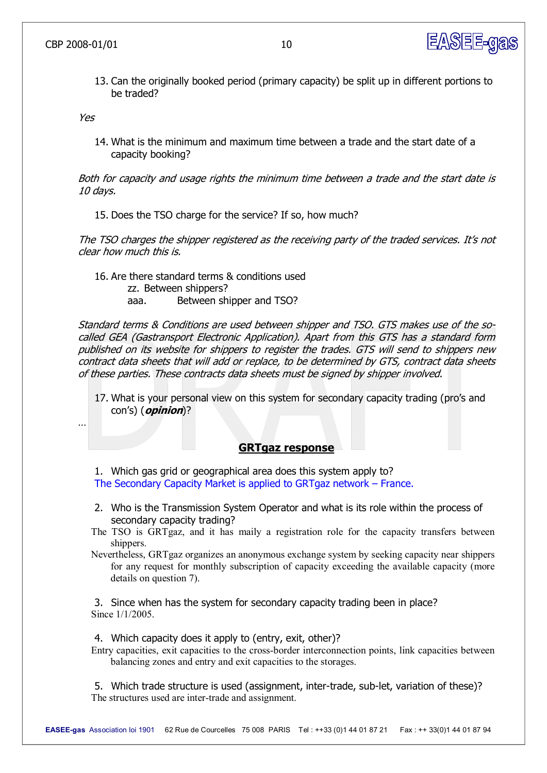

13. Can the originally booked period (primary capacity) be split up in different portions to be traded?

Yes

14. What is the minimum and maximum time between a trade and the start date of a capacity booking?

Both for capacity and usage rights the minimum time between a trade and the start date is 10 days.

15. Does the TSO charge for the service? If so, how much?

The TSO charges the shipper registered as the receiving party of the traded services. It's not clear how much this is.

16. Are there standard terms & conditions used zz. Between shippers? aaa. Between shipper and TSO?

Standard terms & Conditions are used between shipper and TSO. GTS makes use of the socalled GEA (Gastransport Electronic Application). Apart from this GTS has <sup>a</sup> standard form published on its website for shippers to register the trades. GTS will send to shippers new contract data sheets that will add or replace, to be determined by GTS, contract data sheets of these parties. These contracts data sheets must be signed by shipper involved.

17. What is your personal view on this system for secondary capacity trading (pro's and con's) (**opinion**)?

…

#### **GRTgaz response**

1. Which gas grid or geographical area does this system apply to? The Secondary Capacity Market is applied to GRTgaz network – France.

- 2. Who is the Transmission System Operator and what is its role within the process of secondary capacity trading?
- The TSO is GRTgaz, and it has maily a registration role for the capacity transfers between shippers.
- Nevertheless, GRTgaz organizes an anonymous exchange system by seeking capacity near shippers for any request for monthly subscription of capacity exceeding the available capacity (more details on question 7).

3. Since when has the system for secondary capacity trading been in place? Since 1/1/2005.

4. Which capacity does it apply to (entry, exit, other)?

Entry capacities, exit capacities to the cross-border interconnection points, link capacities between balancing zones and entry and exit capacities to the storages.

5. Which trade structure is used (assignment, inter-trade, sub-let, variation of these)? The structures used are inter-trade and assignment.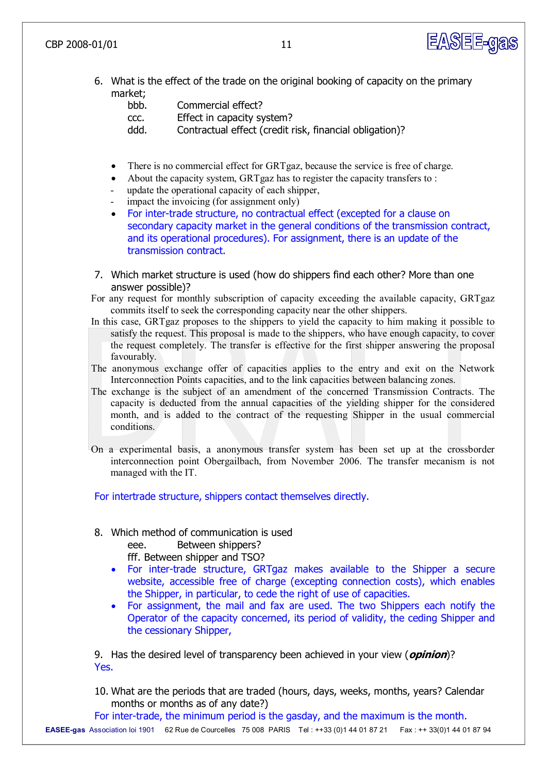

6. What is the effect of the trade on the original booking of capacity on the primary market;

| bbb. | Commercial effect?                                      |
|------|---------------------------------------------------------|
| CCC. | Effect in capacity system?                              |
| ddd. | Contractual effect (credit risk, financial obligation)? |

- There is no commercial effect for GRTgaz, because the service is free of charge.
- About the capacity system, GRTgaz has to register the capacity transfers to :
- update the operational capacity of each shipper,
- impact the invoicing (for assignment only)
- For inter-trade structure, no contractual effect (excepted for a clause on secondary capacity market in the general conditions of the transmission contract, and its operational procedures). For assignment, there is an update of the transmission contract.
- 7. Which market structure is used (how do shippers find each other? More than one answer possible)?
- For any request for monthly subscription of capacity exceeding the available capacity, GRTgaz commits itself to seek the corresponding capacity near the other shippers.
- In this case, GRTgaz proposes to the shippers to yield the capacity to him making it possible to satisfy the request. This proposal is made to the shippers, who have enough capacity, to cover the request completely. The transfer is effective for the first shipper answering the proposal favourably.
- The anonymous exchange offer of capacities applies to the entry and exit on the Network Interconnection Points capacities, and to the link capacities between balancing zones.
- The exchange is the subject of an amendment of the concerned Transmission Contracts. The capacity is deducted from the annual capacities of the yielding shipper for the considered month, and is added to the contract of the requesting Shipper in the usual commercial conditions.
- On a experimental basis, a anonymous transfer system has been set up at the crossborder interconnection point Obergailbach, from November 2006. The transfer mecanism is not managed with the IT.

For intertrade structure, shippers contact themselves directly.

8. Which method of communication is used

eee. Between shippers?

fff. Between shipper and TSO?

- For inter-trade structure, GRTgaz makes available to the Shipper a secure website, accessible free of charge (excepting connection costs), which enables the Shipper, in particular, to cede the right of use of capacities.
- · For assignment, the mail and fax are used. The two Shippers each notify the Operator of the capacity concerned, its period of validity, the ceding Shipper and the cessionary Shipper,

9. Has the desired level of transparency been achieved in your view (**opinion**)? Yes.

10. What are the periods that are traded (hours, days, weeks, months, years? Calendar months or months as of any date?)

For inter-trade, the minimum period is the gasday, and the maximum is the month.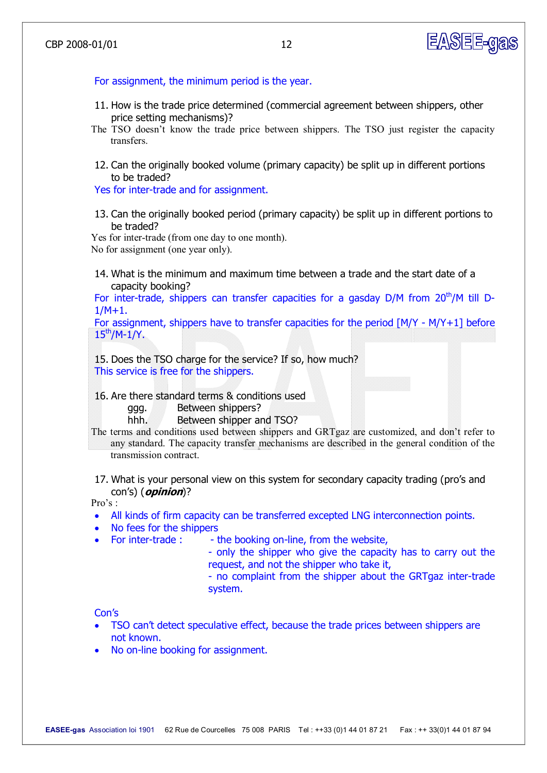# EASEE-gas

For assignment, the minimum period is the year.

- 11. How is the trade price determined (commercial agreement between shippers, other price setting mechanisms)?
- The TSO doesn't know the trade price between shippers. The TSO just register the capacity transfers.
- 12. Can the originally booked volume (primary capacity) be split up in different portions to be traded?

Yes for inter-trade and for assignment.

13. Can the originally booked period (primary capacity) be split up in different portions to be traded?

Yes for inter-trade (from one day to one month). No for assignment (one year only).

14. What is the minimum and maximum time between a trade and the start date of a capacity booking?

For inter-trade, shippers can transfer capacities for a gasday  $D/M$  from  $20<sup>th</sup>/M$  till D-1/M+1.

For assignment, shippers have to transfer capacities for the period  $[M/Y - M/Y+1]$  before  $15^{th}/M-1/Y$ .

15. Does the TSO charge for the service? If so, how much? This service is free for the shippers.

16. Are there standard terms & conditions used

ggg. Between shippers?

hhh. Between shipper and TSO?

- The terms and conditions used between shippers and GRTgaz are customized, and don't refer to any standard. The capacity transfer mechanisms are described in the general condition of the transmission contract.
- 17. What is your personal view on this system for secondary capacity trading (pro's and con's) (**opinion**)?

Pro's :

- · All kinds of firm capacity can be transferred excepted LNG interconnection points.
- · No fees for the shippers
	- For inter-trade :  $\qquad$  the booking on-line, from the website,
		- only the shipper who give the capacity has to carry out the request, and not the shipper who take it,
		- no complaint from the shipper about the GRTgaz inter-trade system.

Con's

- TSO can't detect speculative effect, because the trade prices between shippers are not known.
- No on-line booking for assignment.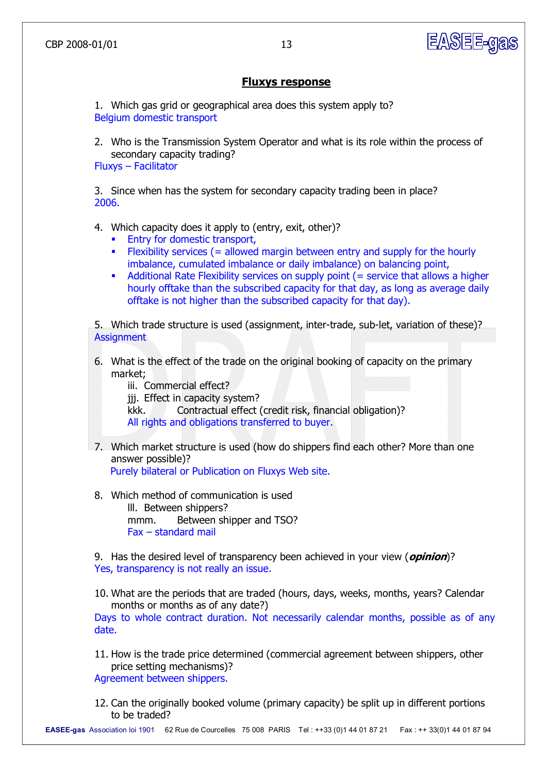#### **Fluxys response**

1. Which gas grid or geographical area does this system apply to? Belgium domestic transport

2. Who is the Transmission System Operator and what is its role within the process of secondary capacity trading? Fluxys – Facilitator

3. Since when has the system for secondary capacity trading been in place? 2006.

- 4. Which capacity does it apply to (entry, exit, other)?
	- **Entry for domestic transport,**
	- **Flexibility services (= allowed margin between entry and supply for the hourly** imbalance, cumulated imbalance or daily imbalance) on balancing point,
	- Additional Rate Flexibility services on supply point (= service that allows a higher hourly offtake than the subscribed capacity for that day, as long as average daily offtake is not higher than the subscribed capacity for that day).

5. Which trade structure is used (assignment, inter-trade, sub-let, variation of these)? **Assignment** 

6. What is the effect of the trade on the original booking of capacity on the primary market;

iii. Commercial effect?

jij. Effect in capacity system?

kkk. Contractual effect (credit risk, financial obligation)? All rights and obligations transferred to buyer.

7. Which market structure is used (how do shippers find each other? More than one answer possible)?

Purely bilateral or Publication on Fluxys Web site.

8. Which method of communication is used lll. Between shippers? mmm. Between shipper and TSO? Fax – standard mail

9. Has the desired level of transparency been achieved in your view (**opinion**)? Yes, transparency is not really an issue.

10. What are the periods that are traded (hours, days, weeks, months, years? Calendar months or months as of any date?)

Days to whole contract duration. Not necessarily calendar months, possible as of any date.

- 11. How is the trade price determined (commercial agreement between shippers, other price setting mechanisms)? Agreement between shippers.
- 12. Can the originally booked volume (primary capacity) be split up in different portions to be traded?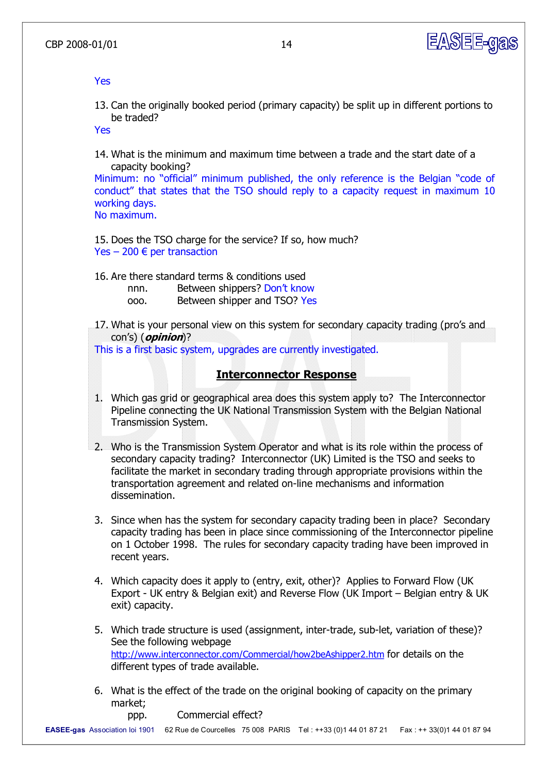

Yes

13. Can the originally booked period (primary capacity) be split up in different portions to be traded?

Yes

14. What is the minimum and maximum time between a trade and the start date of a capacity booking?

Minimum: no "official" minimum published, the only reference is the Belgian "code of conduct" that states that the TSO should reply to a capacity request in maximum 10 working days.

No maximum.

- 15. Does the TSO charge for the service? If so, how much? Yes – 200  $\epsilon$  per transaction
- 16. Are there standard terms & conditions used
	- nnn. Between shippers? Don't know
	- ooo. Between shipper and TSO? Yes
- 17. What is your personal view on this system for secondary capacity trading (pro's and con's) (**opinion**)?

This is a first basic system, upgrades are currently investigated.

# **Interconnector Response**

- 1. Which gas grid or geographical area does this system apply to? The Interconnector Pipeline connecting the UK National Transmission System with the Belgian National Transmission System.
- 2. Who is the Transmission System Operator and what is its role within the process of secondary capacity trading? Interconnector (UK) Limited is the TSO and seeks to facilitate the market in secondary trading through appropriate provisions within the transportation agreement and related on-line mechanisms and information dissemination.
- 3. Since when has the system for secondary capacity trading been in place? Secondary capacity trading has been in place since commissioning of the Interconnector pipeline on 1 October 1998. The rules for secondary capacity trading have been improved in recent years.
- 4. Which capacity does it apply to (entry, exit, other)? Applies to Forward Flow (UK Export UK entry & Belgian exit) and Reverse Flow (UK Import – Belgian entry & UK exit) capacity.
- 5. Which trade structure is used (assignment, inter-trade, sub-let, variation of these)? See the following webpage <http://www.interconnector.com/Commercial/how2beAshipper2.htm> for details on the different types of trade available.
- 6. What is the effect of the trade on the original booking of capacity on the primary market;

ppp. Commercial effect?

**EASEEgas** Association loi 1901 62 Rue de Courcelles 75 008 PARIS Tel : ++33 (0)1 44 01 87 21 Fax : ++ 33(0)1 44 01 87 94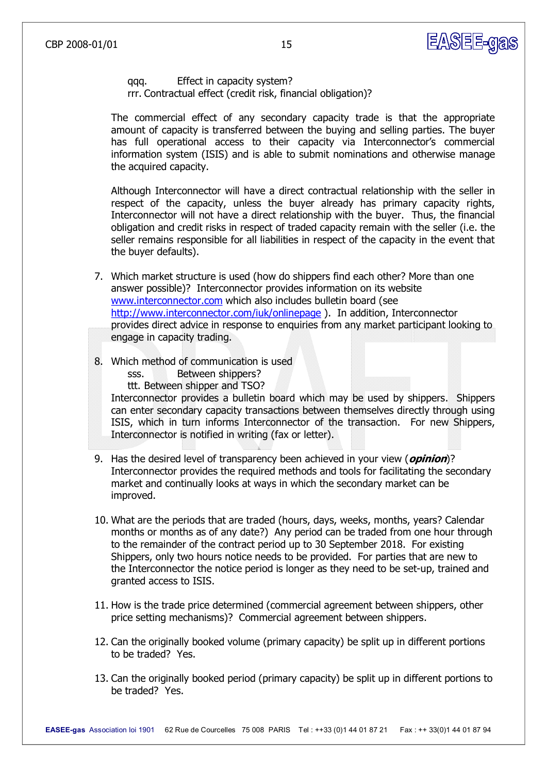

qqq. Effect in capacity system? rrr. Contractual effect (credit risk, financial obligation)?

The commercial effect of any secondary capacity trade is that the appropriate amount of capacity is transferred between the buying and selling parties. The buyer has full operational access to their capacity via Interconnector's commercial information system (ISIS) and is able to submit nominations and otherwise manage the acquired capacity.

Although Interconnector will have a direct contractual relationship with the seller in respect of the capacity, unless the buyer already has primary capacity rights, Interconnector will not have a direct relationship with the buyer. Thus, the financial obligation and credit risks in respect of traded capacity remain with the seller (i.e. the seller remains responsible for all liabilities in respect of the capacity in the event that the buyer defaults).

- 7. Which market structure is used (how do shippers find each other? More than one answer possible)? Interconnector provides information on its website [www.interconnector.com](http://www.interconnector.com/) which also includes bulletin board (see <http://www.interconnector.com/iuk/onlinepage>). In addition, Interconnector provides direct advice in response to enquiries from any market participant looking to engage in capacity trading.
- 8. Which method of communication is used
	- sss. **Between shippers?**

ttt. Between shipper and TSO?

Interconnector provides a bulletin board which may be used by shippers. Shippers can enter secondary capacity transactions between themselves directly through using ISIS, which in turn informs Interconnector of the transaction. For new Shippers, Interconnector is notified in writing (fax or letter).

- 9. Has the desired level of transparency been achieved in your view (**opinion**)? Interconnector provides the required methods and tools for facilitating the secondary market and continually looks at ways in which the secondary market can be improved.
- 10. What are the periods that are traded (hours, days, weeks, months, years? Calendar months or months as of any date?) Any period can be traded from one hour through to the remainder of the contract period up to 30 September 2018. For existing Shippers, only two hours notice needs to be provided. For parties that are new to the Interconnector the notice period is longer as they need to be set-up, trained and granted access to ISIS.
- 11. How is the trade price determined (commercial agreement between shippers, other price setting mechanisms)? Commercial agreement between shippers.
- 12. Can the originally booked volume (primary capacity) be split up in different portions to be traded? Yes.
- 13. Can the originally booked period (primary capacity) be split up in different portions to be traded? Yes.